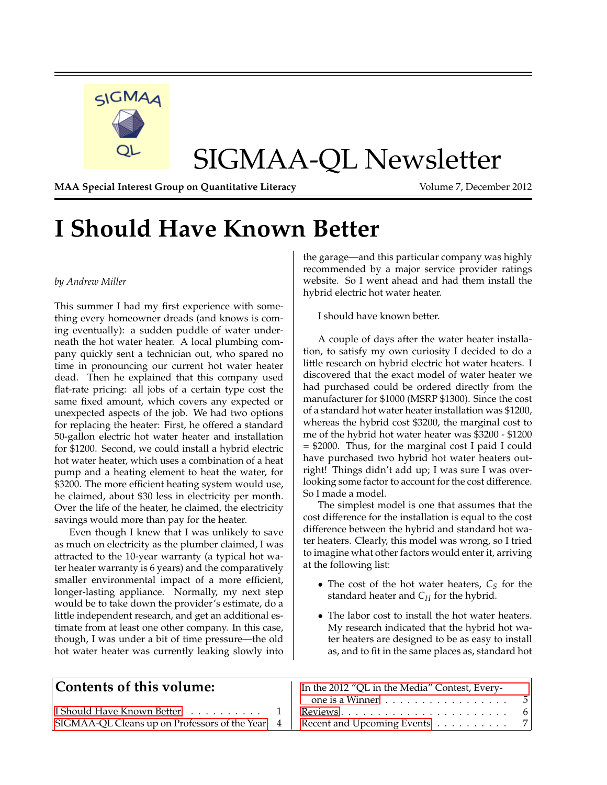

# SIGMAA-QL Newsletter

**MAA Special Interest Group on Quantitative Literacy Volume 7, December 2012** 

# <span id="page-0-0"></span>**I Should Have Known Better**

#### *by Andrew Miller*

This summer I had my first experience with something every homeowner dreads (and knows is coming eventually): a sudden puddle of water underneath the hot water heater. A local plumbing company quickly sent a technician out, who spared no time in pronouncing our current hot water heater dead. Then he explained that this company used flat-rate pricing: all jobs of a certain type cost the same fixed amount, which covers any expected or unexpected aspects of the job. We had two options for replacing the heater: First, he offered a standard 50-gallon electric hot water heater and installation for \$1200. Second, we could install a hybrid electric hot water heater, which uses a combination of a heat pump and a heating element to heat the water, for \$3200. The more efficient heating system would use, he claimed, about \$30 less in electricity per month. Over the life of the heater, he claimed, the electricity savings would more than pay for the heater.

Even though I knew that I was unlikely to save as much on electricity as the plumber claimed, I was attracted to the 10-year warranty (a typical hot water heater warranty is 6 years) and the comparatively smaller environmental impact of a more efficient, longer-lasting appliance. Normally, my next step would be to take down the provider's estimate, do a little independent research, and get an additional estimate from at least one other company. In this case, though, I was under a bit of time pressure—the old hot water heater was currently leaking slowly into

the garage—and this particular company was highly recommended by a major service provider ratings website. So I went ahead and had them install the hybrid electric hot water heater.

I should have known better.

A couple of days after the water heater installation, to satisfy my own curiosity I decided to do a little research on hybrid electric hot water heaters. I discovered that the exact model of water heater we had purchased could be ordered directly from the manufacturer for \$1000 (MSRP \$1300). Since the cost of a standard hot water heater installation was \$1200, whereas the hybrid cost \$3200, the marginal cost to me of the hybrid hot water heater was \$3200 - \$1200 = \$2000. Thus, for the marginal cost I paid I could have purchased two hybrid hot water heaters outright! Things didn't add up; I was sure I was overlooking some factor to account for the cost difference. So I made a model.

The simplest model is one that assumes that the cost difference for the installation is equal to the cost difference between the hybrid and standard hot water heaters. Clearly, this model was wrong, so I tried to imagine what other factors would enter it, arriving at the following list:

- The cost of the hot water heaters,  $C_S$  for the standard heater and *C<sup>H</sup>* for the hybrid.
- The labor cost to install the hot water heaters. My research indicated that the hybrid hot water heaters are designed to be as easy to install as, and to fit in the same places as, standard hot

| Contents of this volume:                         | In the 2012 "QL in the Media" Contest, Every-       |  |
|--------------------------------------------------|-----------------------------------------------------|--|
|                                                  | one is a Winner                                     |  |
| I Should Have Known Better $\dots \dots \dots$ 1 |                                                     |  |
| SIGMAA-QL Cleans up on Professors of the Year 4  | Recent and Upcoming Events $\ldots \ldots \ldots$ 7 |  |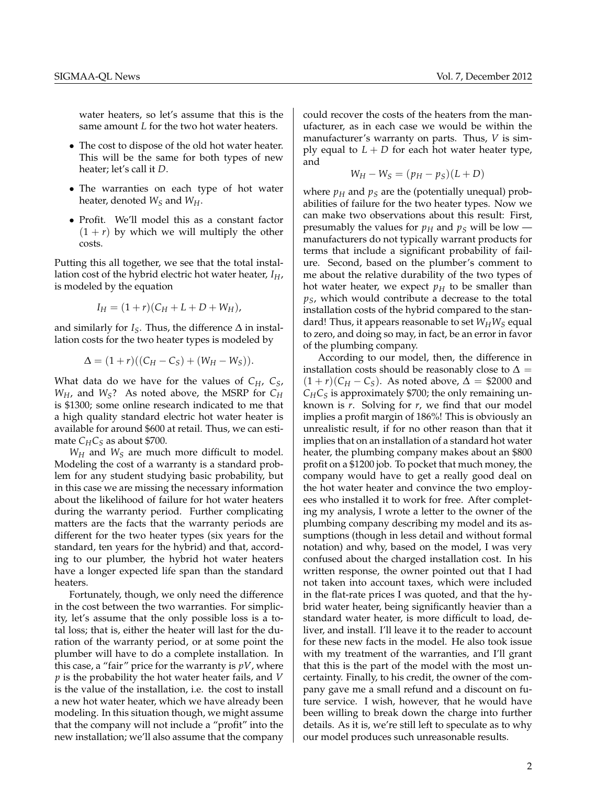water heaters, so let's assume that this is the same amount *L* for the two hot water heaters.

- The cost to dispose of the old hot water heater. This will be the same for both types of new heater; let's call it *D*.
- The warranties on each type of hot water heater, denoted *W<sup>S</sup>* and *WH*.
- Profit. We'll model this as a constant factor  $(1 + r)$  by which we will multiply the other costs.

Putting this all together, we see that the total installation cost of the hybrid electric hot water heater, *IH*, is modeled by the equation

$$
I_H = (1+r)(C_H + L + D + W_H),
$$

and similarly for  $I_S$ . Thus, the difference  $\Delta$  in installation costs for the two heater types is modeled by

$$
\Delta = (1+r)((C_H - C_S) + (W_H - W_S)).
$$

What data do we have for the values of *CH*, *CS*,  $W_H$ , and  $W_S$ ? As noted above, the MSRP for  $C_H$ is \$1300; some online research indicated to me that a high quality standard electric hot water heater is available for around \$600 at retail. Thus, we can estimate  $C_H C_S$  as about \$700.

*W<sup>H</sup>* and *W<sup>S</sup>* are much more difficult to model. Modeling the cost of a warranty is a standard problem for any student studying basic probability, but in this case we are missing the necessary information about the likelihood of failure for hot water heaters during the warranty period. Further complicating matters are the facts that the warranty periods are different for the two heater types (six years for the standard, ten years for the hybrid) and that, according to our plumber, the hybrid hot water heaters have a longer expected life span than the standard heaters.

Fortunately, though, we only need the difference in the cost between the two warranties. For simplicity, let's assume that the only possible loss is a total loss; that is, either the heater will last for the duration of the warranty period, or at some point the plumber will have to do a complete installation. In this case, a "fair" price for the warranty is *pV*, where *p* is the probability the hot water heater fails, and *V* is the value of the installation, i.e. the cost to install a new hot water heater, which we have already been modeling. In this situation though, we might assume that the company will not include a "profit" into the new installation; we'll also assume that the company

could recover the costs of the heaters from the manufacturer, as in each case we would be within the manufacturer's warranty on parts. Thus, *V* is simply equal to  $L + D$  for each hot water heater type, and

$$
W_H - W_S = (p_H - p_S)(L + D)
$$

where  $p<sub>H</sub>$  and  $p<sub>S</sub>$  are the (potentially unequal) probabilities of failure for the two heater types. Now we can make two observations about this result: First, presumably the values for  $p_H$  and  $p_S$  will be low manufacturers do not typically warrant products for terms that include a significant probability of failure. Second, based on the plumber's comment to me about the relative durability of the two types of hot water heater, we expect  $p<sub>H</sub>$  to be smaller than *pS*, which would contribute a decrease to the total installation costs of the hybrid compared to the standard! Thus, it appears reasonable to set  $W_H W_S$  equal to zero, and doing so may, in fact, be an error in favor of the plumbing company.

According to our model, then, the difference in installation costs should be reasonably close to  $\Delta =$  $(1 + r)(C_H - C_S)$ . As noted above,  $\Delta = $2000$  and  $C_H C_S$  is approximately \$700; the only remaining unknown is *r*. Solving for *r*, we find that our model implies a profit margin of 186%! This is obviously an unrealistic result, if for no other reason than that it implies that on an installation of a standard hot water heater, the plumbing company makes about an \$800 profit on a \$1200 job. To pocket that much money, the company would have to get a really good deal on the hot water heater and convince the two employees who installed it to work for free. After completing my analysis, I wrote a letter to the owner of the plumbing company describing my model and its assumptions (though in less detail and without formal notation) and why, based on the model, I was very confused about the charged installation cost. In his written response, the owner pointed out that I had not taken into account taxes, which were included in the flat-rate prices I was quoted, and that the hybrid water heater, being significantly heavier than a standard water heater, is more difficult to load, deliver, and install. I'll leave it to the reader to account for these new facts in the model. He also took issue with my treatment of the warranties, and I'll grant that this is the part of the model with the most uncertainty. Finally, to his credit, the owner of the company gave me a small refund and a discount on future service. I wish, however, that he would have been willing to break down the charge into further details. As it is, we're still left to speculate as to why our model produces such unreasonable results.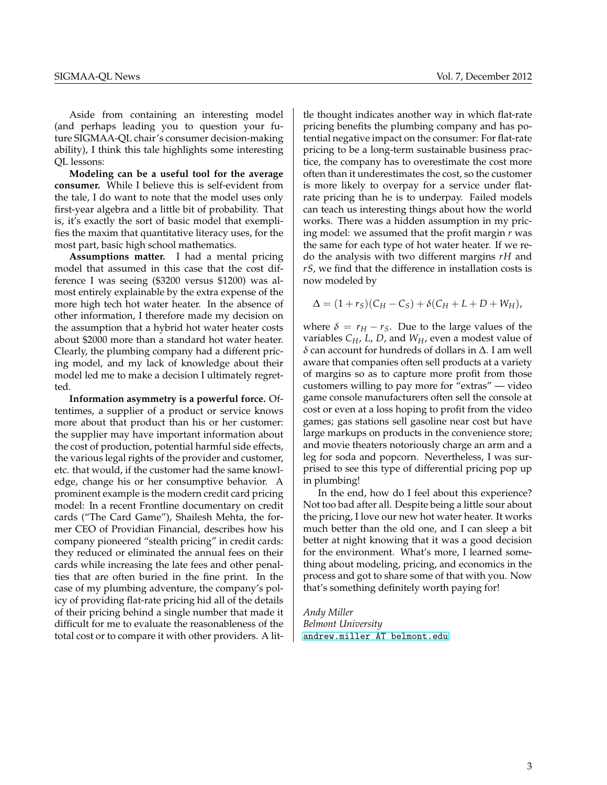Aside from containing an interesting model (and perhaps leading you to question your future SIGMAA-QL chair's consumer decision-making ability), I think this tale highlights some interesting QL lessons:

**Modeling can be a useful tool for the average consumer.** While I believe this is self-evident from the tale, I do want to note that the model uses only first-year algebra and a little bit of probability. That is, it's exactly the sort of basic model that exemplifies the maxim that quantitative literacy uses, for the most part, basic high school mathematics.

**Assumptions matter.** I had a mental pricing model that assumed in this case that the cost difference I was seeing (\$3200 versus \$1200) was almost entirely explainable by the extra expense of the more high tech hot water heater. In the absence of other information, I therefore made my decision on the assumption that a hybrid hot water heater costs about \$2000 more than a standard hot water heater. Clearly, the plumbing company had a different pricing model, and my lack of knowledge about their model led me to make a decision I ultimately regretted.

**Information asymmetry is a powerful force.** Oftentimes, a supplier of a product or service knows more about that product than his or her customer: the supplier may have important information about the cost of production, potential harmful side effects, the various legal rights of the provider and customer, etc. that would, if the customer had the same knowledge, change his or her consumptive behavior. A prominent example is the modern credit card pricing model: In a recent Frontline documentary on credit cards ("The Card Game"), Shailesh Mehta, the former CEO of Providian Financial, describes how his company pioneered "stealth pricing" in credit cards: they reduced or eliminated the annual fees on their cards while increasing the late fees and other penalties that are often buried in the fine print. In the case of my plumbing adventure, the company's policy of providing flat-rate pricing hid all of the details of their pricing behind a single number that made it difficult for me to evaluate the reasonableness of the total cost or to compare it with other providers. A lit-

tle thought indicates another way in which flat-rate pricing benefits the plumbing company and has potential negative impact on the consumer: For flat-rate pricing to be a long-term sustainable business practice, the company has to overestimate the cost more often than it underestimates the cost, so the customer is more likely to overpay for a service under flatrate pricing than he is to underpay. Failed models can teach us interesting things about how the world works. There was a hidden assumption in my pricing model: we assumed that the profit margin *r* was the same for each type of hot water heater. If we redo the analysis with two different margins *rH* and *rS*, we find that the difference in installation costs is now modeled by

$$
\Delta = (1 + r_S)(C_H - C_S) + \delta(C_H + L + D + W_H),
$$

where  $\delta = r_H - r_S$ . Due to the large values of the variables *CH*, *L*, *D*, and *WH*, even a modest value of δ can account for hundreds of dollars in ∆. I am well aware that companies often sell products at a variety of margins so as to capture more profit from those customers willing to pay more for "extras" — video game console manufacturers often sell the console at cost or even at a loss hoping to profit from the video games; gas stations sell gasoline near cost but have large markups on products in the convenience store; and movie theaters notoriously charge an arm and a leg for soda and popcorn. Nevertheless, I was surprised to see this type of differential pricing pop up in plumbing!

In the end, how do I feel about this experience? Not too bad after all. Despite being a little sour about the pricing, I love our new hot water heater. It works much better than the old one, and I can sleep a bit better at night knowing that it was a good decision for the environment. What's more, I learned something about modeling, pricing, and economics in the process and got to share some of that with you. Now that's something definitely worth paying for!

*Andy Miller Belmont University* [andrew.miller AT belmont.edu](mailto:andrew.miller AT belmont.edu)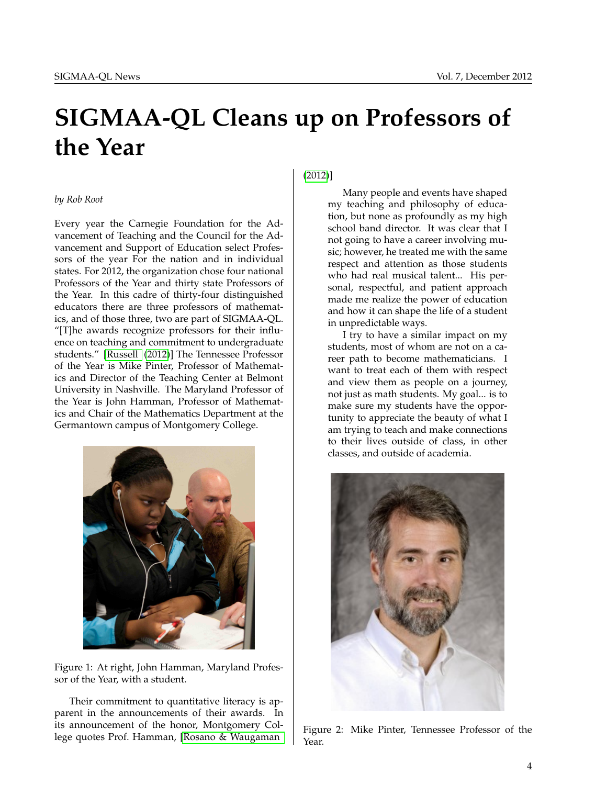# <span id="page-3-0"></span>**SIGMAA-QL Cleans up on Professors of the Year**

#### *by Rob Root*

Every year the Carnegie Foundation for the Advancement of Teaching and the Council for the Advancement and Support of Education select Professors of the year For the nation and in individual states. For 2012, the organization chose four national Professors of the Year and thirty state Professors of the Year. In this cadre of thirty-four distinguished educators there are three professors of mathematics, and of those three, two are part of SIGMAA-QL. "[T]he awards recognize professors for their influence on teaching and commitment to undergraduate students." [\[Russell](#page-4-1) [\(2012\)](#page-4-1)] The Tennessee Professor of the Year is Mike Pinter, Professor of Mathematics and Director of the Teaching Center at Belmont University in Nashville. The Maryland Professor of the Year is John Hamman, Professor of Mathematics and Chair of the Mathematics Department at the Germantown campus of Montgomery College.



Figure 1: At right, John Hamman, Maryland Professor of the Year, with a student.

Their commitment to quantitative literacy is apparent in the announcements of their awards. In its announcement of the honor, Montgomery College quotes Prof. Hamman, [\[Rosano & Waugaman](#page-4-2)

[\(2012\)](#page-4-2)]

Many people and events have shaped my teaching and philosophy of education, but none as profoundly as my high school band director. It was clear that I not going to have a career involving music; however, he treated me with the same respect and attention as those students who had real musical talent... His personal, respectful, and patient approach made me realize the power of education and how it can shape the life of a student in unpredictable ways.

I try to have a similar impact on my students, most of whom are not on a career path to become mathematicians. I want to treat each of them with respect and view them as people on a journey, not just as math students. My goal... is to make sure my students have the opportunity to appreciate the beauty of what I am trying to teach and make connections to their lives outside of class, in other classes, and outside of academia.



Figure 2: Mike Pinter, Tennessee Professor of the Year.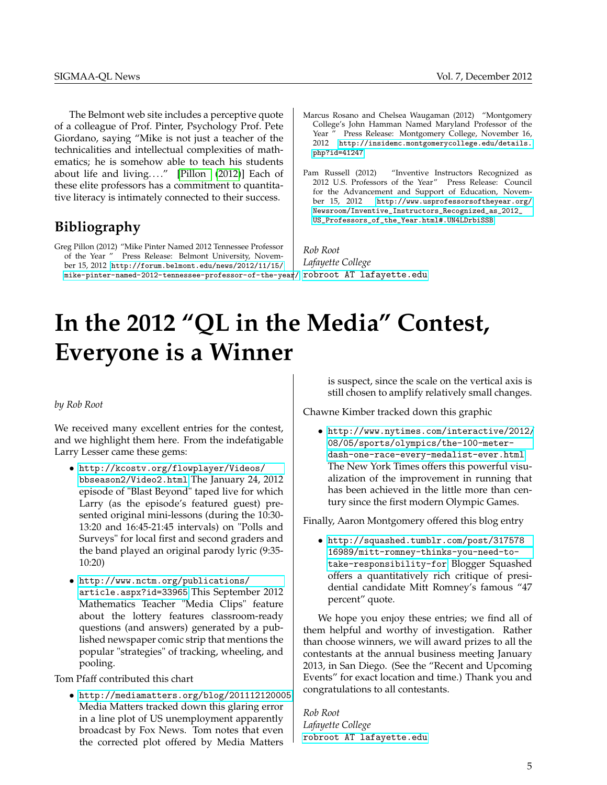The Belmont web site includes a perceptive quote of a colleague of Prof. Pinter, Psychology Prof. Pete Giordano, saying "Mike is not just a teacher of the technicalities and intellectual complexities of mathematics; he is somehow able to teach his students about life and living...." [\[Pillon](#page-4-3) [\(2012\)](#page-4-3)] Each of these elite professors has a commitment to quantitative literacy is intimately connected to their success.

## **Bibliography**

<span id="page-4-3"></span>Greg Pillon (2012) "Mike Pinter Named 2012 Tennessee Professor of the Year " Press Release: Belmont University, November 15, 2012 [http://forum.belmont.edu/news/2012/11/15/](http://forum.belmont.edu/news/2012/11/15/mike-pinter-named-2012-tennessee-professor-of-the-year/) [mike-pinter-named-2012-tennessee-professor-of-the-year/](http://forum.belmont.edu/news/2012/11/15/mike-pinter-named-2012-tennessee-professor-of-the-year/)

- <span id="page-4-2"></span>Marcus Rosano and Chelsea Waugaman (2012) "Montgomery College's John Hamman Named Maryland Professor of the Year " Press Release: Montgomery College, November 16, 2012 [http://insidemc.montgomerycollege.edu/details.](http://insidemc.montgomerycollege.edu/details.php?id=41247) [php?id=41247](http://insidemc.montgomerycollege.edu/details.php?id=41247)
- <span id="page-4-1"></span>Pam Russell (2012) "Inventive Instructors Recognized as 2012 U.S. Professors of the Year" Press Release: Council for the Advancement and Support of Education, November 15, 2012 [http://www.usprofessorsoftheyear.org/](http://www.usprofessorsoftheyear.org/Newsroom/Inventive_Instructors_Recognized_as_2012_US_Professors_of_the_Year.html#.UN4LDrbiSSB) [Newsroom/Inventive\\_Instructors\\_Recognized\\_as\\_2012\\_](http://www.usprofessorsoftheyear.org/Newsroom/Inventive_Instructors_Recognized_as_2012_US_Professors_of_the_Year.html#.UN4LDrbiSSB) [US\\_Professors\\_of\\_the\\_Year.html#.UN4LDrbiSSB](http://www.usprofessorsoftheyear.org/Newsroom/Inventive_Instructors_Recognized_as_2012_US_Professors_of_the_Year.html#.UN4LDrbiSSB)

*Rob Root Lafayette College* [robroot AT lafayette.edu](mailto:robroot AT lafayette.edu)

# <span id="page-4-0"></span>**In the 2012 "QL in the Media" Contest, Everyone is a Winner**

#### *by Rob Root*

We received many excellent entries for the contest, and we highlight them here. From the indefatigable Larry Lesser came these gems:

- [http://kcostv.org/flowplayer/Videos/](http://kcostv.org/flowplayer/Videos/bbseason2/Video2.html) [bbseason2/Video2.html](http://kcostv.org/flowplayer/Videos/bbseason2/Video2.html) The January 24, 2012 episode of "Blast Beyond" taped live for which Larry (as the episode's featured guest) presented original mini-lessons (during the 10:30- 13:20 and 16:45-21:45 intervals) on "Polls and Surveys" for local first and second graders and the band played an original parody lyric (9:35- 10:20)
- [http://www.nctm.org/publications/](http://www.nctm.org/publications/article.aspx?id=33965) [article.aspx?id=33965](http://www.nctm.org/publications/article.aspx?id=33965) This September 2012 Mathematics Teacher "Media Clips" feature about the lottery features classroom-ready questions (and answers) generated by a published newspaper comic strip that mentions the popular "strategies" of tracking, wheeling, and pooling.

Tom Pfaff contributed this chart

• <http://mediamatters.org/blog/201112120005> Media Matters tracked down this glaring error in a line plot of US unemployment apparently broadcast by Fox News. Tom notes that even the corrected plot offered by Media Matters

is suspect, since the scale on the vertical axis is still chosen to amplify relatively small changes.

Chawne Kimber tracked down this graphic

• [http://www.nytimes.com/interactive/2012/](http://www.nytimes.com/interactive/2012/08/05/sports/olympics/the-100-meter-dash-one-race-every-medalist-ever.html) [08/05/sports/olympics/the-100-meter](http://www.nytimes.com/interactive/2012/08/05/sports/olympics/the-100-meter-dash-one-race-every-medalist-ever.html)[dash-one-race-every-medalist-ever.html](http://www.nytimes.com/interactive/2012/08/05/sports/olympics/the-100-meter-dash-one-race-every-medalist-ever.html) The New York Times offers this powerful visualization of the improvement in running that has been achieved in the little more than century since the first modern Olympic Games.

Finally, Aaron Montgomery offered this blog entry

• [http://squashed.tumblr.com/post/317578](http://squashed.tumblr.com/post/31757816989/mitt-romney-thinks-you-need-to-take-responsibility-for) [16989/mitt-romney-thinks-you-need-to](http://squashed.tumblr.com/post/31757816989/mitt-romney-thinks-you-need-to-take-responsibility-for)[take-responsibility-for](http://squashed.tumblr.com/post/31757816989/mitt-romney-thinks-you-need-to-take-responsibility-for) Blogger Squashed offers a quantitatively rich critique of presidential candidate Mitt Romney's famous "47 percent" quote.

We hope you enjoy these entries; we find all of them helpful and worthy of investigation. Rather than choose winners, we will award prizes to all the contestants at the annual business meeting January 2013, in San Diego. (See the "Recent and Upcoming Events" for exact location and time.) Thank you and congratulations to all contestants.

*Rob Root Lafayette College* [robroot AT lafayette.edu](mailto:robroot AT lafayette.edu)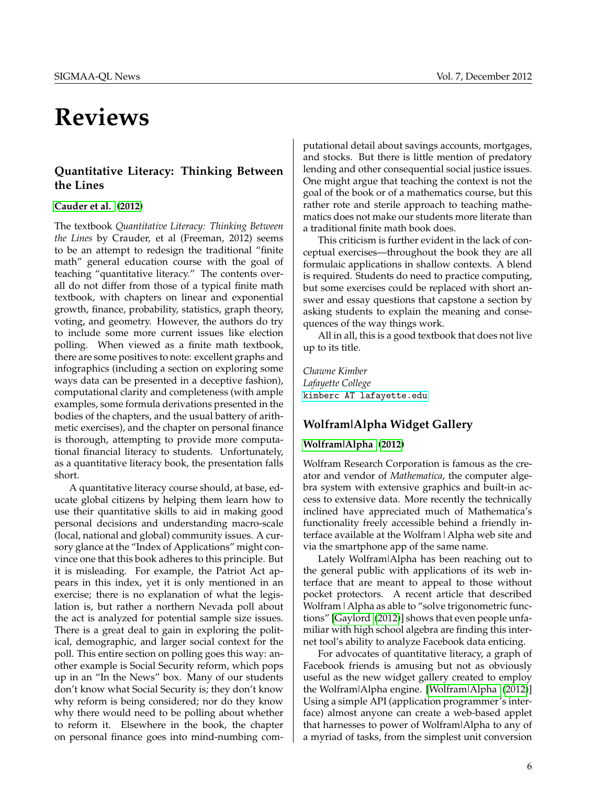## <span id="page-5-0"></span>**Reviews**

## **Quantitative Literacy: Thinking Between the Lines**

### **[Cauder et al.](#page-6-1) [\(2012\)](#page-6-1)**

The textbook *Quantitative Literacy: Thinking Between the Lines* by Crauder, et al (Freeman, 2012) seems to be an attempt to redesign the traditional "finite math" general education course with the goal of teaching "quantitative literacy." The contents overall do not differ from those of a typical finite math textbook, with chapters on linear and exponential growth, finance, probability, statistics, graph theory, voting, and geometry. However, the authors do try to include some more current issues like election polling. When viewed as a finite math textbook, there are some positives to note: excellent graphs and infographics (including a section on exploring some ways data can be presented in a deceptive fashion), computational clarity and completeness (with ample examples, some formula derivations presented in the bodies of the chapters, and the usual battery of arithmetic exercises), and the chapter on personal finance is thorough, attempting to provide more computational financial literacy to students. Unfortunately, as a quantitative literacy book, the presentation falls short.

A quantitative literacy course should, at base, educate global citizens by helping them learn how to use their quantitative skills to aid in making good personal decisions and understanding macro-scale (local, national and global) community issues. A cursory glance at the "Index of Applications" might convince one that this book adheres to this principle. But it is misleading. For example, the Patriot Act appears in this index, yet it is only mentioned in an exercise; there is no explanation of what the legislation is, but rather a northern Nevada poll about the act is analyzed for potential sample size issues. There is a great deal to gain in exploring the political, demographic, and larger social context for the poll. This entire section on polling goes this way: another example is Social Security reform, which pops up in an "In the News" box. Many of our students don't know what Social Security is; they don't know why reform is being considered; nor do they know why there would need to be polling about whether to reform it. Elsewhere in the book, the chapter on personal finance goes into mind-numbing com-

putational detail about savings accounts, mortgages, and stocks. But there is little mention of predatory lending and other consequential social justice issues. One might argue that teaching the context is not the goal of the book or of a mathematics course, but this rather rote and sterile approach to teaching mathematics does not make our students more literate than a traditional finite math book does.

This criticism is further evident in the lack of conceptual exercises—throughout the book they are all formulaic applications in shallow contexts. A blend is required. Students do need to practice computing, but some exercises could be replaced with short answer and essay questions that capstone a section by asking students to explain the meaning and consequences of the way things work.

All in all, this is a good textbook that does not live up to its title.

*Chawne Kimber Lafayette College* [kimberc AT lafayette.edu](mailto:kimberc AT lafayette.edu)

## **Wolfram|Alpha Widget Gallery**

## **[Wolfram|Alpha](#page-6-2) [\(2012\)](#page-6-2)**

Wolfram Research Corporation is famous as the creator and vendor of *Mathematica*, the computer algebra system with extensive graphics and built-in access to extensive data. More recently the technically inclined have appreciated much of Mathematica's functionality freely accessible behind a friendly interface available at the Wolfram|Alpha web site and via the smartphone app of the same name.

Lately Wolfram|Alpha has been reaching out to the general public with applications of its web interface that are meant to appeal to those without pocket protectors. A recent article that described Wolfram | Alpha as able to "solve trigonometric functions" [\[Gaylord](#page-6-3) [\(2012\)](#page-6-3)] shows that even people unfamiliar with high school algebra are finding this internet tool's ability to analyze Facebook data enticing.

For advocates of quantitative literacy, a graph of Facebook friends is amusing but not as obviously useful as the new widget gallery created to employ the Wolfram|Alpha engine. [\[Wolfram|Alpha](#page-6-2) [\(2012\)](#page-6-2)] Using a simple API (application programmer's interface) almost anyone can create a web-based applet that harnesses to power of Wolfram|Alpha to any of a myriad of tasks, from the simplest unit conversion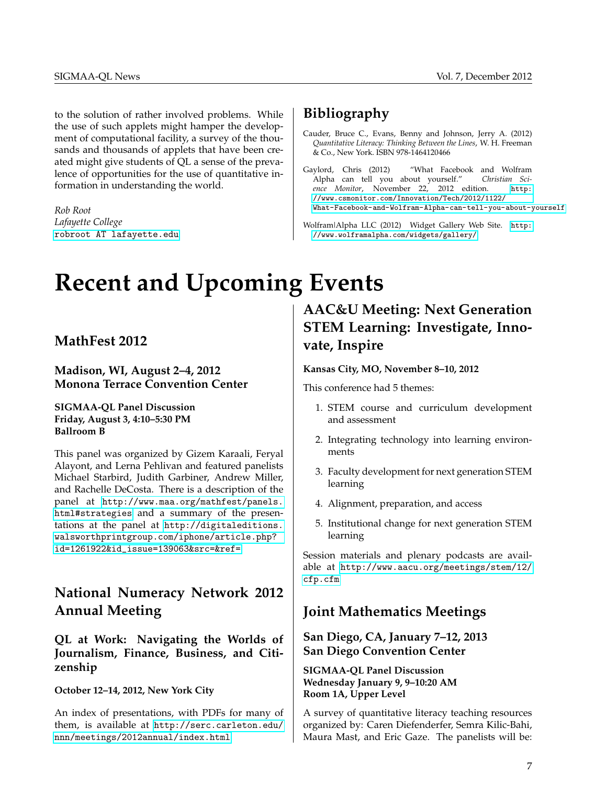to the solution of rather involved problems. While the use of such applets might hamper the development of computational facility, a survey of the thousands and thousands of applets that have been created might give students of QL a sense of the prevalence of opportunities for the use of quantitative information in understanding the world.

*Rob Root Lafayette College* [robroot AT lafayette.edu](mailto:robroot AT lafayette.edu)

## **Bibliography**

- <span id="page-6-1"></span>Cauder, Bruce C., Evans, Benny and Johnson, Jerry A. (2012) *Quantitative Literacy: Thinking Between the Lines*, W. H. Freeman & Co., New York. ISBN 978-1464120466
- <span id="page-6-3"></span>Gaylord, Chris (2012) "What Facebook and Wolfram Alpha can tell you about yourself." *Christian Science Monitor*, November 22, 2012 edition. [http:](http://www.csmonitor.com/Innovation/Tech/2012/1122/What-Facebook-and-Wolfram-Alpha-can-tell-you-about-yourself) [//www.csmonitor.com/Innovation/Tech/2012/1122/](http://www.csmonitor.com/Innovation/Tech/2012/1122/What-Facebook-and-Wolfram-Alpha-can-tell-you-about-yourself) [What-Facebook-and-Wolfram-Alpha-can-tell-you-about-yourself](http://www.csmonitor.com/Innovation/Tech/2012/1122/What-Facebook-and-Wolfram-Alpha-can-tell-you-about-yourself)
- <span id="page-6-2"></span>Wolfram|Alpha LLC (2012) Widget Gallery Web Site. [http:](http://www.wolframalpha.com/widgets/gallery/) [//www.wolframalpha.com/widgets/gallery/](http://www.wolframalpha.com/widgets/gallery/)

# <span id="page-6-0"></span>**Recent and Upcoming Events**

## **MathFest 2012**

**Madison, WI, August 2–4, 2012 Monona Terrace Convention Center**

**SIGMAA-QL Panel Discussion Friday, August 3, 4:10–5:30 PM Ballroom B**

This panel was organized by Gizem Karaali, Feryal Alayont, and Lerna Pehlivan and featured panelists Michael Starbird, Judith Garbiner, Andrew Miller, and Rachelle DeCosta. There is a description of the panel at [http://www.maa.org/mathfest/panels.](http://www.maa.org/mathfest/panels.html#strategies) [html#strategies](http://www.maa.org/mathfest/panels.html#strategies) and a summary of the presentations at the panel at [http://digitaleditions.](http://digitaleditions.walsworthprintgroup.com/iphone/article.php?id=1261922&id_issue=139063&src=&ref=) [walsworthprintgroup.com/iphone/article.php?](http://digitaleditions.walsworthprintgroup.com/iphone/article.php?id=1261922&id_issue=139063&src=&ref=) [id=1261922&id\\_issue=139063&src=&ref=](http://digitaleditions.walsworthprintgroup.com/iphone/article.php?id=1261922&id_issue=139063&src=&ref=)

## **National Numeracy Network 2012 Annual Meeting**

## **QL at Work: Navigating the Worlds of Journalism, Finance, Business, and Citizenship**

**October 12–14, 2012, New York City**

An index of presentations, with PDFs for many of them, is available at [http://serc.carleton.edu/](http://serc.carleton.edu/nnn/meetings/2012annual/index.html) [nnn/meetings/2012annual/index.html](http://serc.carleton.edu/nnn/meetings/2012annual/index.html)

## **AAC&U Meeting: Next Generation STEM Learning: Investigate, Innovate, Inspire**

### **Kansas City, MO, November 8–10, 2012**

This conference had 5 themes:

- 1. STEM course and curriculum development and assessment
- 2. Integrating technology into learning environments
- 3. Faculty development for next generation STEM learning
- 4. Alignment, preparation, and access
- 5. Institutional change for next generation STEM learning

Session materials and plenary podcasts are available at [http://www.aacu.org/meetings/stem/12/](http://www.aacu.org/meetings/stem/12/cfp.cfm) [cfp.cfm](http://www.aacu.org/meetings/stem/12/cfp.cfm)

## **Joint Mathematics Meetings**

## **San Diego, CA, January 7–12, 2013 San Diego Convention Center**

**SIGMAA-QL Panel Discussion Wednesday January 9, 9–10:20 AM Room 1A, Upper Level**

A survey of quantitative literacy teaching resources organized by: Caren Diefenderfer, Semra Kilic-Bahi, Maura Mast, and Eric Gaze. The panelists will be: